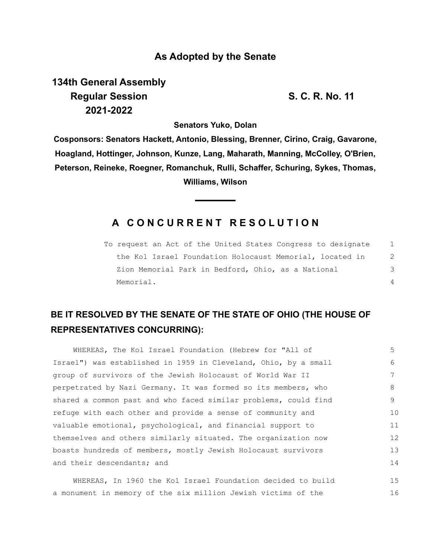### **As Adopted by the Senate**

**134th General Assembly Regular Session S. C. R. No. 11 2021-2022**

**Senators Yuko, Dolan**

**Cosponsors: Senators Hackett, Antonio, Blessing, Brenner, Cirino, Craig, Gavarone, Hoagland, Hottinger, Johnson, Kunze, Lang, Maharath, Manning, McColley, O'Brien, Peterson, Reineke, Roegner, Romanchuk, Rulli, Schaffer, Schuring, Sykes, Thomas, Williams, Wilson**

## **A C O N C U R R E N T R E S O L U T I O N**

To request an Act of the United States Congress to designate the Kol Israel Foundation Holocaust Memorial, located in Zion Memorial Park in Bedford, Ohio, as a National Memorial. 1 2 3 4

# **BE IT RESOLVED BY THE SENATE OF THE STATE OF OHIO (THE HOUSE OF REPRESENTATIVES CONCURRING):**

| WHEREAS, The Kol Israel Foundation (Hebrew for "All of          | 5  |
|-----------------------------------------------------------------|----|
| Israel") was established in 1959 in Cleveland, Ohio, by a small | 6  |
| group of survivors of the Jewish Holocaust of World War II      |    |
| perpetrated by Nazi Germany. It was formed so its members, who  | 8  |
| shared a common past and who faced similar problems, could find | 9  |
| refuge with each other and provide a sense of community and     | 10 |
| valuable emotional, psychological, and financial support to     | 11 |
| themselves and others similarly situated. The organization now  | 12 |
| boasts hundreds of members, mostly Jewish Holocaust survivors   | 13 |
| and their descendants; and                                      | 14 |
|                                                                 |    |

WHEREAS, In 1960 the Kol Israel Foundation decided to build a monument in memory of the six million Jewish victims of the 15 16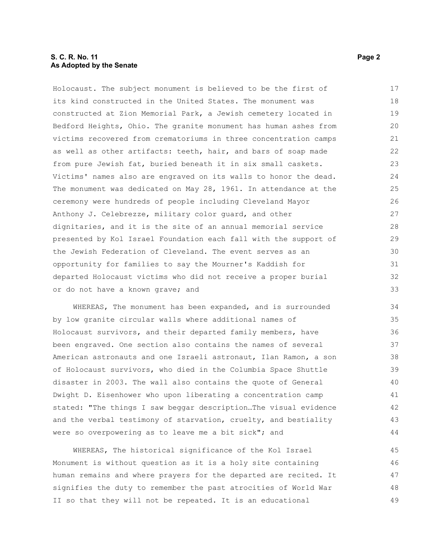### **S. C. R. No. 11** Page 2 **As Adopted by the Senate**

Holocaust. The subject monument is believed to be the first of its kind constructed in the United States. The monument was constructed at Zion Memorial Park, a Jewish cemetery located in Bedford Heights, Ohio. The granite monument has human ashes from victims recovered from crematoriums in three concentration camps as well as other artifacts: teeth, hair, and bars of soap made from pure Jewish fat, buried beneath it in six small caskets. Victims' names also are engraved on its walls to honor the dead. The monument was dedicated on May 28, 1961. In attendance at the ceremony were hundreds of people including Cleveland Mayor Anthony J. Celebrezze, military color guard, and other dignitaries, and it is the site of an annual memorial service presented by Kol Israel Foundation each fall with the support of the Jewish Federation of Cleveland. The event serves as an opportunity for families to say the Mourner's Kaddish for departed Holocaust victims who did not receive a proper burial or do not have a known grave; and 17 18 19 20 21 22 23 24 25 26 27 28 29 30 31 32 33

WHEREAS, The monument has been expanded, and is surrounded by low granite circular walls where additional names of Holocaust survivors, and their departed family members, have been engraved. One section also contains the names of several American astronauts and one Israeli astronaut, Ilan Ramon, a son of Holocaust survivors, who died in the Columbia Space Shuttle disaster in 2003. The wall also contains the quote of General Dwight D. Eisenhower who upon liberating a concentration camp stated: "The things I saw beggar description…The visual evidence and the verbal testimony of starvation, cruelty, and bestiality were so overpowering as to leave me a bit sick"; and

WHEREAS, The historical significance of the Kol Israel Monument is without question as it is a holy site containing human remains and where prayers for the departed are recited. It signifies the duty to remember the past atrocities of World War II so that they will not be repeated. It is an educational 45 46 47 48 49